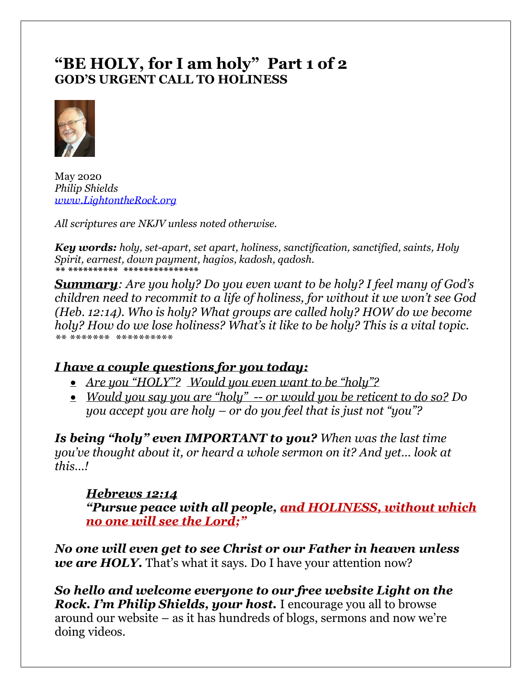# **"BE HOLY, for I am holy" Part 1 of 2 GOD'S URGENT CALL TO HOLINESS**



May 2020 *Philip Shields [www.LightontheRock.org](http://www.lightontherock.org/)*

*All scriptures are NKJV unless noted otherwise.* 

*Key words: holy, set-apart, set apart, holiness, sanctification, sanctified, saints, Holy Spirit, earnest, down payment, hagios, kadosh, qadosh. \*\* \*\*\*\*\*\*\*\*\*\* \*\*\*\*\*\*\*\*\*\*\*\*\*\*\**

*Summary: Are you holy? Do you even want to be holy? I feel many of God's children need to recommit to a life of holiness, for without it we won't see God (Heb. 12:14). Who is holy? What groups are called holy? HOW do we become holy? How do we lose holiness? What's it like to be holy? This is a vital topic. \*\* \*\*\*\*\*\*\* \*\*\*\*\*\*\*\*\*\** 

# *I have a couple questions for you today:*

- *Are you "HOLY"? Would you even want to be "holy"?*
- *Would you say you are "holy" -- or would you be reticent to do so? Do you accept you are holy – or do you feel that is just not "you"?*

*Is being "holy" even IMPORTANT to you? When was the last time you've thought about it, or heard a whole sermon on it? And yet… look at this…!*

# *Hebrews 12:14*

*"Pursue peace with all people, and HOLINESS, without which no one will see the Lord;"*

*No one will even get to see Christ or our Father in heaven unless we are HOLY*. That's what it says. Do I have your attention now?

*So hello and welcome everyone to our free website Light on the Rock. I'm Philip Shields, your host.* I encourage you all to browse around our website – as it has hundreds of blogs, sermons and now we're doing videos.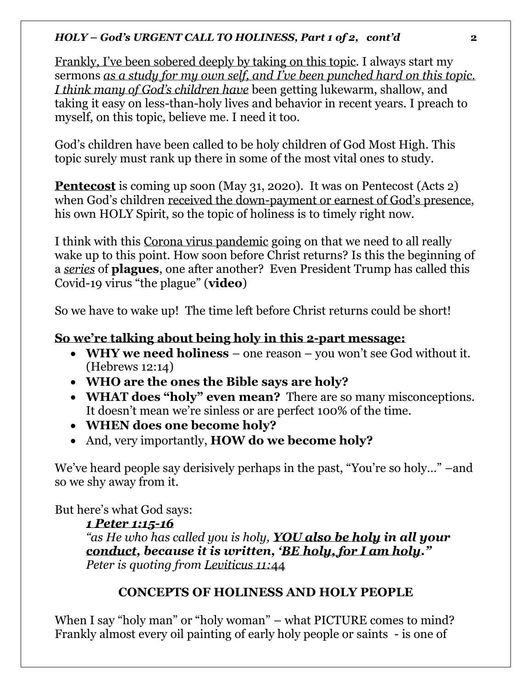Frankly, I've been sobered deeply by taking on this topic. I always start my sermons *as a study for my own self, and I've been punched hard on this topic. I think many of God's children have* been getting lukewarm, shallow, and taking it easy on less-than-holy lives and behavior in recent years. I preach to myself, on this topic, believe me. I need it too.

God's children have been called to be holy children of God Most High. This topic surely must rank up there in some of the most vital ones to study.

**Pentecost** is coming up soon (May 31, 2020). It was on Pentecost (Acts 2) when God's children received the down-payment or earnest of God's presence, his own HOLY Spirit, so the topic of holiness is to timely right now.

I think with this Corona virus pandemic going on that we need to all really wake up to this point. How soon before Christ returns? Is this the beginning of a *series* of **plagues**, one after another? Even President Trump has called this Covid-19 virus "the plague" (**video**)

So we have to wake up! The time left before Christ returns could be short!

# **So we're talking about being holy in this 2-part message:**

- **WHY we need holiness** one reason you won't see God without it. (Hebrews 12:14)
- **WHO are the ones the Bible says are holy?**
- **WHAT does "holy" even mean?** There are so many misconceptions. It doesn't mean we're sinless or are perfect 100% of the time.
- **WHEN does one become holy?**
- And, very importantly, **HOW do we become holy?**

We've heard people say derisively perhaps in the past, "You're so holy..." –and so we shy away from it.

But here's what God says:

# *1 Peter 1:15-16*

*"as He who has called you is holy, YOU also be holy in all your conduct, because it is written, 'BE holy, for I am holy." Peter is quoting from Leviticus 11:*44

# **CONCEPTS OF HOLINESS AND HOLY PEOPLE**

When I say "holy man" or "holy woman" – what PICTURE comes to mind? Frankly almost every oil painting of early holy people or saints - is one of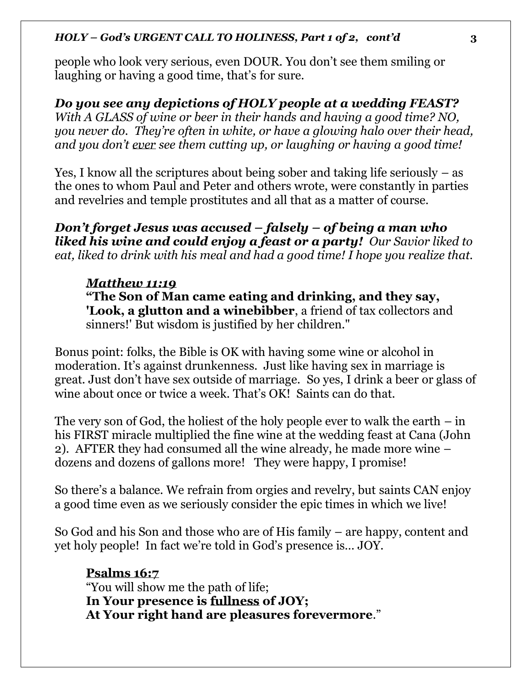people who look very serious, even DOUR. You don't see them smiling or laughing or having a good time, that's for sure.

*Do you see any depictions of HOLY people at a wedding FEAST? With A GLASS of wine or beer in their hands and having a good time? NO, you never do. They're often in white, or have a glowing halo over their head, and you don't ever see them cutting up, or laughing or having a good time!* 

Yes, I know all the scriptures about being sober and taking life seriously – as the ones to whom Paul and Peter and others wrote, were constantly in parties and revelries and temple prostitutes and all that as a matter of course.

*Don't forget Jesus was accused – falsely – of being a man who liked his wine and could enjoy a feast or a party! Our Savior liked to eat, liked to drink with his meal and had a good time! I hope you realize that.* 

# *Matthew 11:19*

**"The Son of Man came eating and drinking, and they say, 'Look, a glutton and a winebibber**, a friend of tax collectors and sinners!' But wisdom is justified by her children."

Bonus point: folks, the Bible is OK with having some wine or alcohol in moderation. It's against drunkenness. Just like having sex in marriage is great. Just don't have sex outside of marriage. So yes, I drink a beer or glass of wine about once or twice a week. That's OK! Saints can do that.

The very son of God, the holiest of the holy people ever to walk the earth  $-$  in his FIRST miracle multiplied the fine wine at the wedding feast at Cana (John 2). AFTER they had consumed all the wine already, he made more wine – dozens and dozens of gallons more! They were happy, I promise!

So there's a balance. We refrain from orgies and revelry, but saints CAN enjoy a good time even as we seriously consider the epic times in which we live!

So God and his Son and those who are of His family – are happy, content and yet holy people! In fact we're told in God's presence is… JOY.

# **Psalms 16:7**

"You will show me the path of life; **In Your presence is fullness of JOY; At Your right hand are pleasures forevermore**."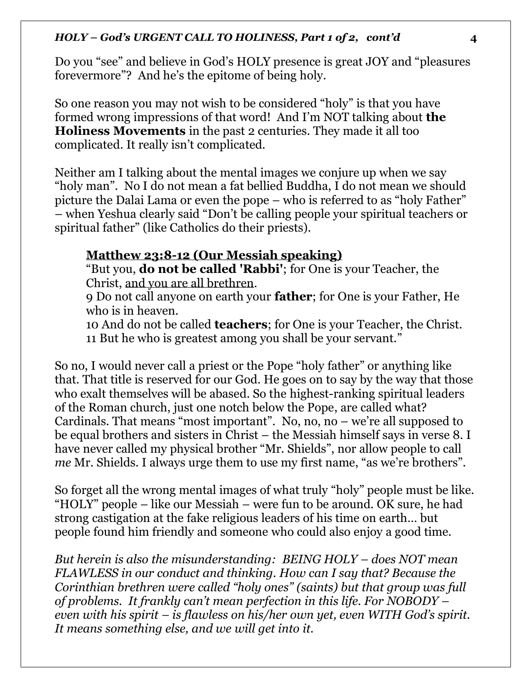Do you "see" and believe in God's HOLY presence is great JOY and "pleasures forevermore"? And he's the epitome of being holy.

So one reason you may not wish to be considered "holy" is that you have formed wrong impressions of that word! And I'm NOT talking about **the Holiness Movements** in the past 2 centuries. They made it all too complicated. It really isn't complicated.

Neither am I talking about the mental images we conjure up when we say "holy man". No I do not mean a fat bellied Buddha, I do not mean we should picture the Dalai Lama or even the pope – who is referred to as "holy Father" – when Yeshua clearly said "Don't be calling people your spiritual teachers or spiritual father" (like Catholics do their priests).

# **Matthew 23:8-12 (Our Messiah speaking)**

"But you, **do not be called 'Rabbi'**; for One is your Teacher, the Christ, and you are all brethren.

9 Do not call anyone on earth your **father**; for One is your Father, He who is in heaven.

10 And do not be called **teachers**; for One is your Teacher, the Christ. 11 But he who is greatest among you shall be your servant."

So no, I would never call a priest or the Pope "holy father" or anything like that. That title is reserved for our God. He goes on to say by the way that those who exalt themselves will be abased. So the highest-ranking spiritual leaders of the Roman church, just one notch below the Pope, are called what? Cardinals. That means "most important". No, no, no – we're all supposed to be equal brothers and sisters in Christ – the Messiah himself says in verse 8. I have never called my physical brother "Mr. Shields", nor allow people to call *me* Mr. Shields. I always urge them to use my first name, "as we're brothers".

So forget all the wrong mental images of what truly "holy" people must be like. "HOLY" people – like our Messiah – were fun to be around. OK sure, he had strong castigation at the fake religious leaders of his time on earth… but people found him friendly and someone who could also enjoy a good time.

*But herein is also the misunderstanding: BEING HOLY – does NOT mean FLAWLESS in our conduct and thinking. How can I say that? Because the Corinthian brethren were called "holy ones" (saints) but that group was full of problems. It frankly can't mean perfection in this life. For NOBODY – even with his spirit – is flawless on his/her own yet, even WITH God's spirit. It means something else, and we will get into it.*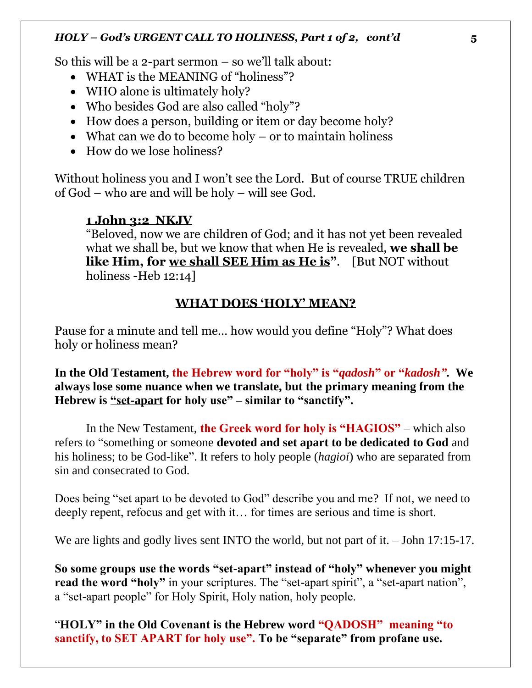So this will be a 2-part sermon – so we'll talk about:

- WHAT is the MEANING of "holiness"?
- WHO alone is ultimately holy?
- Who besides God are also called "holy"?
- How does a person, building or item or day become holy?
- What can we do to become holy or to maintain holiness
- How do we lose holiness?

Without holiness you and I won't see the Lord. But of course TRUE children of God – who are and will be holy – will see God.

## **1 John 3:2 NKJV**

"Beloved, now we are children of God; and it has not yet been revealed what we shall be, but we know that when He is revealed, **we shall be like Him, for we shall SEE Him as He is"**. [But NOT without holiness -Heb 12:14]

## **WHAT DOES 'HOLY' MEAN?**

Pause for a minute and tell me… how would you define "Holy"? What does holy or holiness mean?

**In the Old Testament, the Hebrew word for "holy" is "***qadosh***" or "***kadosh"***. We always lose some nuance when we translate, but the primary meaning from the Hebrew is "set-apart for holy use" – similar to "sanctify".**

In the New Testament, **the Greek word for holy is "HAGIOS"** – which also refers to "something or someone **devoted and set apart to be dedicated to God** and his holiness; to be God-like". It refers to holy people (*hagioi*) who are separated from sin and consecrated to God.

Does being "set apart to be devoted to God" describe you and me? If not, we need to deeply repent, refocus and get with it… for times are serious and time is short.

We are lights and godly lives sent INTO the world, but not part of it. - John 17:15-17.

**So some groups use the words "set-apart" instead of "holy" whenever you might**  read the word "holy" in your scriptures. The "set-apart spirit", a "set-apart nation", a "set-apart people" for Holy Spirit, Holy nation, holy people.

"**HOLY" in the Old Covenant is the Hebrew word "QADOSH" meaning "to sanctify, to SET APART for holy use". To be "separate" from profane use.**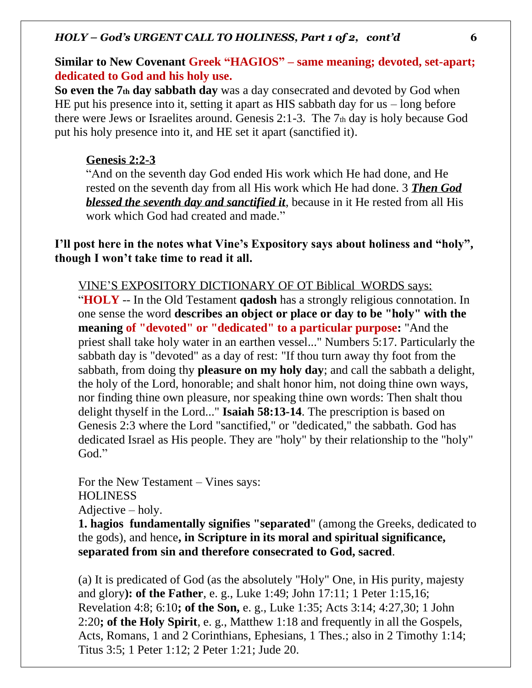## **Similar to New Covenant Greek "HAGIOS" – same meaning; devoted, set-apart; dedicated to God and his holy use.**

**So even the 7th day sabbath day** was a day consecrated and devoted by God when HE put his presence into it, setting it apart as HIS sabbath day for us – long before there were Jews or Israelites around. Genesis 2:1-3. The 7th day is holy because God put his holy presence into it, and HE set it apart (sanctified it).

## **Genesis 2:2-3**

"And on the seventh day God ended His work which He had done, and He rested on the seventh day from all His work which He had done. 3 *Then God blessed the seventh day and sanctified it*, because in it He rested from all His work which God had created and made."

**I'll post here in the notes what Vine's Expository says about holiness and "holy", though I won't take time to read it all.** 

VINE'S EXPOSITORY DICTIONARY OF OT Biblical WORDS says:

"**HOLY** -- In the Old Testament **qadosh** has a strongly religious connotation. In one sense the word **describes an object or place or day to be "holy" with the meaning of "devoted" or "dedicated" to a particular purpose:** "And the priest shall take holy water in an earthen vessel..." Numbers 5:17. Particularly the sabbath day is "devoted" as a day of rest: "If thou turn away thy foot from the sabbath, from doing thy **pleasure on my holy day**; and call the sabbath a delight, the holy of the Lord, honorable; and shalt honor him, not doing thine own ways, nor finding thine own pleasure, nor speaking thine own words: Then shalt thou delight thyself in the Lord..." **Isaiah 58:13-14**. The prescription is based on Genesis 2:3 where the Lord "sanctified," or "dedicated," the sabbath. God has dedicated Israel as His people. They are "holy" by their relationship to the "holy" God."

For the New Testament – Vines says: **HOLINESS** Adjective – holy.

**1. hagios fundamentally signifies "separated**" (among the Greeks, dedicated to the gods), and hence**, in Scripture in its moral and spiritual significance, separated from sin and therefore consecrated to God, sacred**.

(a) It is predicated of God (as the absolutely "Holy" One, in His purity, majesty and glory**): of the Father**, e. g., Luke 1:49; John 17:11; 1 Peter 1:15,16; Revelation 4:8; 6:10**; of the Son,** e. g., Luke 1:35; Acts 3:14; 4:27,30; 1 John 2:20**; of the Holy Spirit**, e. g., Matthew 1:18 and frequently in all the Gospels, Acts, Romans, 1 and 2 Corinthians, Ephesians, 1 Thes.; also in 2 Timothy 1:14; Titus 3:5; 1 Peter 1:12; 2 Peter 1:21; Jude 20.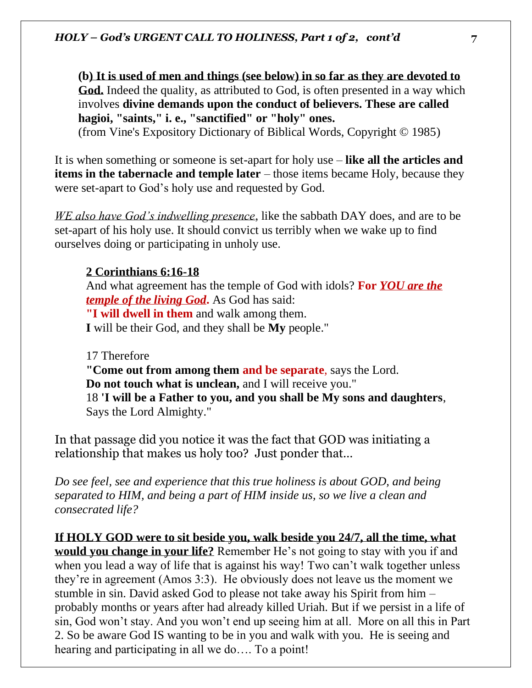**(b) It is used of men and things (see below) in so far as they are devoted to God.** Indeed the quality, as attributed to God, is often presented in a way which involves **divine demands upon the conduct of believers. These are called hagioi, "saints," i. e., "sanctified" or "holy" ones.**

(from Vine's Expository Dictionary of Biblical Words, Copyright © 1985)

It is when something or someone is set-apart for holy use – **like all the articles and items in the tabernacle and temple later** – those items became Holy, because they were set-apart to God's holy use and requested by God.

*WE also have God's indwelling presence*, like the sabbath DAY does, and are to be set-apart of his holy use. It should convict us terribly when we wake up to find ourselves doing or participating in unholy use.

# **2 Corinthians 6:16-18**

And what agreement has the temple of God with idols? **For** *YOU are the temple of the living God***.** As God has said: **"I will dwell in them** and walk among them. **I** will be their God, and they shall be **My** people."

17 Therefore **"Come out from among them and be separate**, says the Lord. **Do not touch what is unclean,** and I will receive you." 18 **'I will be a Father to you, and you shall be My sons and daughters**, Says the Lord Almighty."

In that passage did you notice it was the fact that GOD was initiating a relationship that makes us holy too? Just ponder that…

*Do see feel, see and experience that this true holiness is about GOD, and being separated to HIM, and being a part of HIM inside us, so we live a clean and consecrated life?* 

**If HOLY GOD were to sit beside you, walk beside you 24/7, all the time, what would you change in your life?** Remember He's not going to stay with you if and when you lead a way of life that is against his way! Two can't walk together unless they're in agreement (Amos 3:3). He obviously does not leave us the moment we stumble in sin. David asked God to please not take away his Spirit from him – probably months or years after had already killed Uriah. But if we persist in a life of sin, God won't stay. And you won't end up seeing him at all. More on all this in Part 2. So be aware God IS wanting to be in you and walk with you. He is seeing and hearing and participating in all we do…. To a point!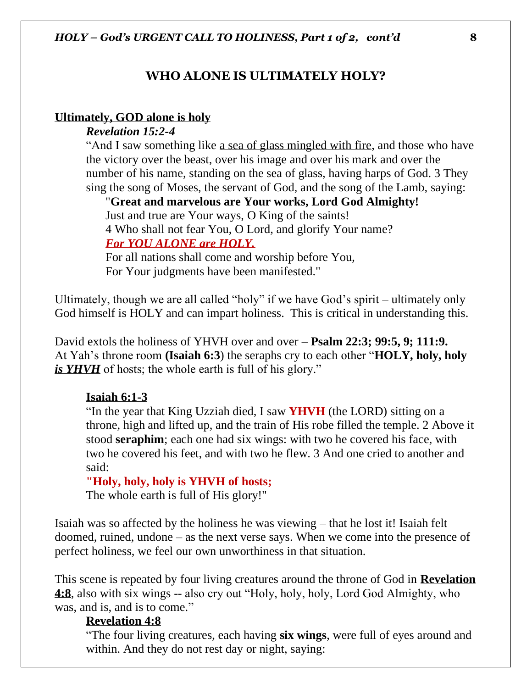### **WHO ALONE IS ULTIMATELY HOLY?**

#### **Ultimately, GOD alone is holy**

### *Revelation 15:2-4*

"And I saw something like a sea of glass mingled with fire, and those who have the victory over the beast, over his image and over his mark and over the number of his name, standing on the sea of glass, having harps of God. 3 They sing the song of Moses, the servant of God, and the song of the Lamb, saying:

"**Great and marvelous are Your works, Lord God Almighty!** Just and true are Your ways, O King of the saints! 4 Who shall not fear You, O Lord, and glorify Your name? *For YOU ALONE are HOLY.*

For all nations shall come and worship before You, For Your judgments have been manifested."

Ultimately, though we are all called "holy" if we have God's spirit – ultimately only God himself is HOLY and can impart holiness. This is critical in understanding this.

David extols the holiness of YHVH over and over – **Psalm 22:3; 99:5, 9; 111:9.**  At Yah's throne room **(Isaiah 6:3**) the seraphs cry to each other "**HOLY, holy, holy**  *is YHVH* of hosts; the whole earth is full of his glory."

#### **Isaiah 6:1-3**

"In the year that King Uzziah died, I saw **YHVH** (the LORD) sitting on a throne, high and lifted up, and the train of His robe filled the temple. 2 Above it stood **seraphim**; each one had six wings: with two he covered his face, with two he covered his feet, and with two he flew. 3 And one cried to another and said:

#### **"Holy, holy, holy is YHVH of hosts;**

The whole earth is full of His glory!"

Isaiah was so affected by the holiness he was viewing – that he lost it! Isaiah felt doomed, ruined, undone – as the next verse says. When we come into the presence of perfect holiness, we feel our own unworthiness in that situation.

This scene is repeated by four living creatures around the throne of God in **Revelation 4:8**, also with six wings -- also cry out "Holy, holy, holy, Lord God Almighty, who was, and is, and is to come."

### **Revelation 4:8**

"The four living creatures, each having **six wings**, were full of eyes around and within. And they do not rest day or night, saying: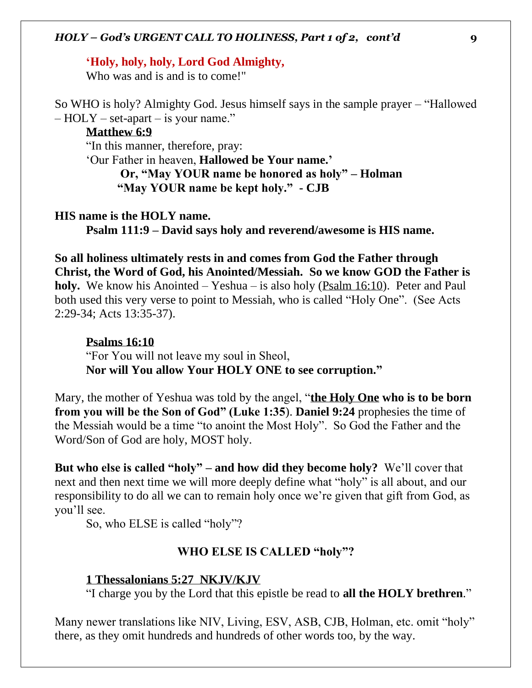#### **'Holy, holy, holy, Lord God Almighty,**

Who was and is and is to come!"

So WHO is holy? Almighty God. Jesus himself says in the sample prayer – "Hallowed  $-$  HOLY – set-apart – is your name."

### **Matthew 6:9**

"In this manner, therefore, pray:

'Our Father in heaven, **Hallowed be Your name.' Or, "May YOUR name be honored as holy" – Holman "May YOUR name be kept holy." - CJB** 

#### **HIS name is the HOLY name.**

**Psalm 111:9 – David says holy and reverend/awesome is HIS name.** 

**So all holiness ultimately rests in and comes from God the Father through Christ, the Word of God, his Anointed/Messiah. So we know GOD the Father is holy.** We know his Anointed – Yeshua – is also holy (Psalm 16:10). Peter and Paul both used this very verse to point to Messiah, who is called "Holy One". (See Acts 2:29-34; Acts 13:35-37).

#### **Psalms 16:10**

"For You will not leave my soul in Sheol, **Nor will You allow Your HOLY ONE to see corruption."**

Mary, the mother of Yeshua was told by the angel, "**the Holy One who is to be born from you will be the Son of God" (Luke 1:35**). **Daniel 9:24** prophesies the time of the Messiah would be a time "to anoint the Most Holy". So God the Father and the Word/Son of God are holy, MOST holy.

**But who else is called "holy" – and how did they become holy?** We'll cover that next and then next time we will more deeply define what "holy" is all about, and our responsibility to do all we can to remain holy once we're given that gift from God, as you'll see.

So, who ELSE is called "holy"?

### **WHO ELSE IS CALLED "holy"?**

### **1 Thessalonians 5:27 NKJV/KJV**

"I charge you by the Lord that this epistle be read to **all the HOLY brethren**."

Many newer translations like NIV, Living, ESV, ASB, CJB, Holman, etc. omit "holy" there, as they omit hundreds and hundreds of other words too, by the way.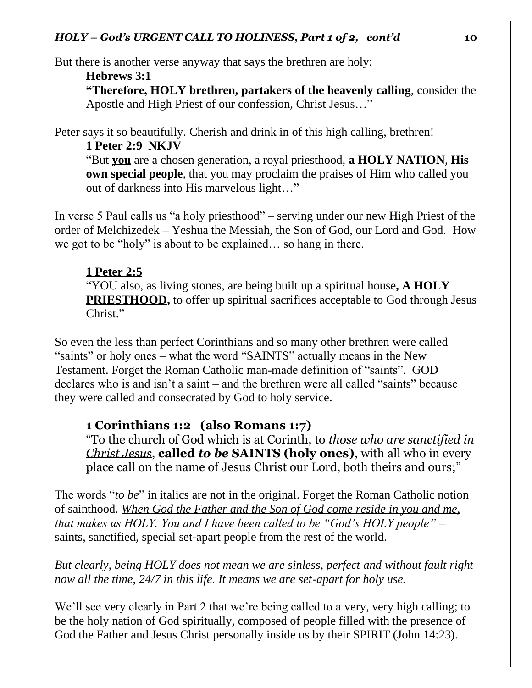But there is another verse anyway that says the brethren are holy:

**Hebrews 3:1**

**"Therefore, HOLY brethren, partakers of the heavenly calling**, consider the Apostle and High Priest of our confession, Christ Jesus…"

Peter says it so beautifully. Cherish and drink in of this high calling, brethren! **1 Peter 2:9 NKJV**

"But **you** are a chosen generation, a royal priesthood, **a HOLY NATION**, **His own special people**, that you may proclaim the praises of Him who called you out of darkness into His marvelous light…"

In verse 5 Paul calls us "a holy priesthood" – serving under our new High Priest of the order of Melchizedek – Yeshua the Messiah, the Son of God, our Lord and God. How we got to be "holy" is about to be explained… so hang in there.

## **1 Peter 2:5**

"YOU also, as living stones, are being built up a spiritual house**, A HOLY PRIESTHOOD,** to offer up spiritual sacrifices acceptable to God through Jesus Christ."

So even the less than perfect Corinthians and so many other brethren were called "saints" or holy ones – what the word "SAINTS" actually means in the New Testament. Forget the Roman Catholic man-made definition of "saints". GOD declares who is and isn't a saint – and the brethren were all called "saints" because they were called and consecrated by God to holy service.

## **1 Corinthians 1:2 (also Romans 1:7)**

"To the church of God which is at Corinth, to *those who are sanctified in Christ Jesus*, **called** *to be* **SAINTS (holy ones)**, with all who in every place call on the name of Jesus Christ our Lord, both theirs and ours;"

The words "*to be*" in italics are not in the original. Forget the Roman Catholic notion of sainthood. *When God the Father and the Son of God come reside in you and me, that makes us HOLY. You and I have been called to be "God's HOLY people" –* saints, sanctified, special set-apart people from the rest of the world.

*But clearly, being HOLY does not mean we are sinless, perfect and without fault right now all the time, 24/7 in this life. It means we are set-apart for holy use.* 

We'll see very clearly in Part 2 that we're being called to a very, very high calling; to be the holy nation of God spiritually, composed of people filled with the presence of God the Father and Jesus Christ personally inside us by their SPIRIT (John 14:23).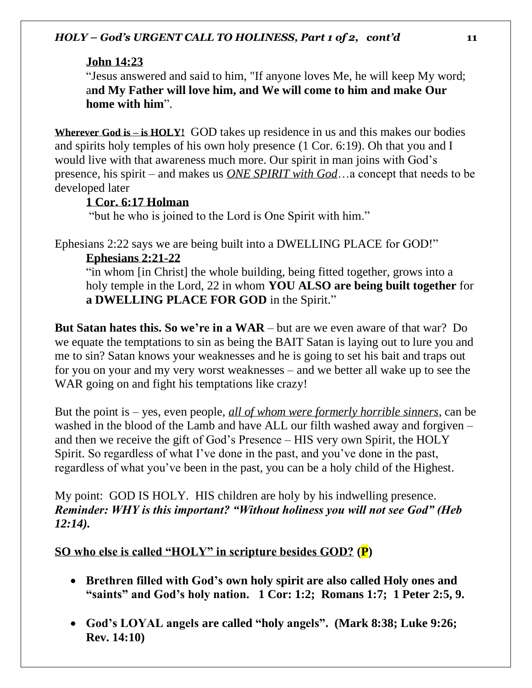# **John 14:23**

"Jesus answered and said to him, "If anyone loves Me, he will keep My word; a**nd My Father will love him, and We will come to him and make Our home with him**".

**Wherever God is – is HOLY!** GOD takes up residence in us and this makes our bodies and spirits holy temples of his own holy presence (1 Cor. 6:19). Oh that you and I would live with that awareness much more. Our spirit in man joins with God's presence, his spirit – and makes us *ONE SPIRIT with God*…a concept that needs to be developed later

# **1 Cor. 6:17 Holman**

"but he who is joined to the Lord is One Spirit with him."

Ephesians 2:22 says we are being built into a DWELLING PLACE for GOD!"

# **Ephesians 2:21-22**

"in whom [in Christ] the whole building, being fitted together, grows into a holy temple in the Lord, 22 in whom **YOU ALSO are being built together** for **a DWELLING PLACE FOR GOD** in the Spirit."

**But Satan hates this. So we're in a WAR** – but are we even aware of that war? Do we equate the temptations to sin as being the BAIT Satan is laying out to lure you and me to sin? Satan knows your weaknesses and he is going to set his bait and traps out for you on your and my very worst weaknesses – and we better all wake up to see the WAR going on and fight his temptations like crazy!

But the point is – yes, even people, *all of whom were formerly horrible sinners*, can be washed in the blood of the Lamb and have ALL our filth washed away and forgiven – and then we receive the gift of God's Presence – HIS very own Spirit, the HOLY Spirit. So regardless of what I've done in the past, and you've done in the past, regardless of what you've been in the past, you can be a holy child of the Highest.

My point: GOD IS HOLY. HIS children are holy by his indwelling presence. *Reminder: WHY is this important? "Without holiness you will not see God" (Heb 12:14).* 

**SO who else is called "HOLY" in scripture besides GOD? (P)**

- **Brethren filled with God's own holy spirit are also called Holy ones and "saints" and God's holy nation. 1 Cor: 1:2; Romans 1:7; 1 Peter 2:5, 9.**
- **God's LOYAL angels are called "holy angels". (Mark 8:38; Luke 9:26; Rev. 14:10)**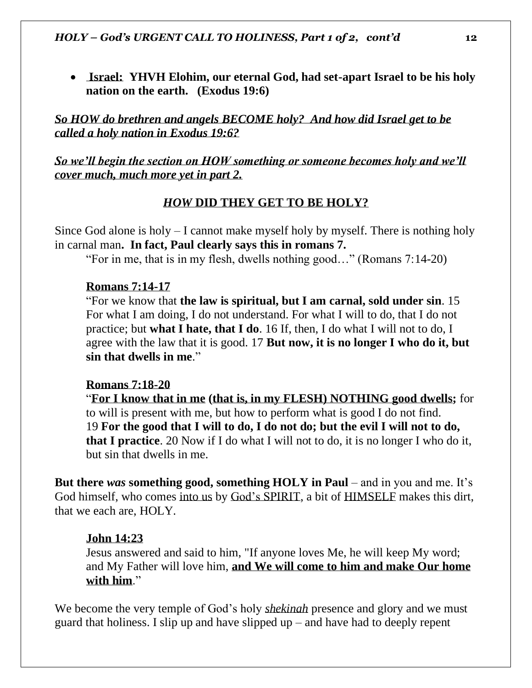• **Israel: YHVH Elohim, our eternal God, had set-apart Israel to be his holy nation on the earth. (Exodus 19:6)**

*So HOW do brethren and angels BECOME holy? And how did Israel get to be called a holy nation in Exodus 19:6?* 

*So we'll begin the section on HOW something or someone becomes holy and we'll cover much, much more yet in part 2.* 

### *HOW* **DID THEY GET TO BE HOLY?**

Since God alone is holy – I cannot make myself holy by myself. There is nothing holy in carnal man**. In fact, Paul clearly says this in romans 7.** 

"For in me, that is in my flesh, dwells nothing good…" (Romans 7:14-20)

### **Romans 7:14-17**

"For we know that **the law is spiritual, but I am carnal, sold under sin**. 15 For what I am doing, I do not understand. For what I will to do, that I do not practice; but **what I hate, that I do**. 16 If, then, I do what I will not to do, I agree with the law that it is good. 17 **But now, it is no longer I who do it, but sin that dwells in me**."

### **Romans 7:18-20**

"**For I know that in me (that is, in my FLESH) NOTHING good dwells;** for to will is present with me, but how to perform what is good I do not find. 19 **For the good that I will to do, I do not do; but the evil I will not to do, that I practice**. 20 Now if I do what I will not to do, it is no longer I who do it, but sin that dwells in me.

**But there** *was* **something good, something HOLY in Paul** – and in you and me. It's God himself, who comes into us by God's SPIRIT, a bit of HIMSELF makes this dirt, that we each are, HOLY.

### **John 14:23**

Jesus answered and said to him, "If anyone loves Me, he will keep My word; and My Father will love him, **and We will come to him and make Our home with him**."

We become the very temple of God's holy *shekinah* presence and glory and we must guard that holiness. I slip up and have slipped up – and have had to deeply repent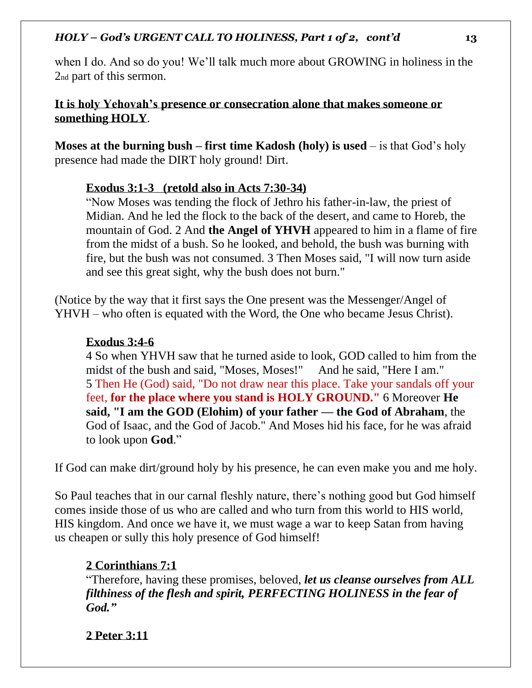when I do. And so do you! We'll talk much more about GROWING in holiness in the 2nd part of this sermon.

## **It is holy Yehovah's presence or consecration alone that makes someone or something HOLY**.

**Moses at the burning bush – first time Kadosh (holy) is used** – is that God's holy presence had made the DIRT holy ground! Dirt.

### **Exodus 3:1-3 (retold also in Acts 7:30-34)**

"Now Moses was tending the flock of Jethro his father-in-law, the priest of Midian. And he led the flock to the back of the desert, and came to Horeb, the mountain of God. 2 And **the Angel of YHVH** appeared to him in a flame of fire from the midst of a bush. So he looked, and behold, the bush was burning with fire, but the bush was not consumed. 3 Then Moses said, "I will now turn aside and see this great sight, why the bush does not burn."

(Notice by the way that it first says the One present was the Messenger/Angel of YHVH – who often is equated with the Word, the One who became Jesus Christ).

## **Exodus 3:4-6**

4 So when YHVH saw that he turned aside to look, GOD called to him from the midst of the bush and said, "Moses, Moses!" And he said, "Here I am." 5 Then He (God) said, "Do not draw near this place. Take your sandals off your feet, **for the place where you stand is HOLY GROUND."** 6 Moreover **He said, "I am the GOD (Elohim) of your father — the God of Abraham**, the God of Isaac, and the God of Jacob." And Moses hid his face, for he was afraid to look upon **God**."

If God can make dirt/ground holy by his presence, he can even make you and me holy.

So Paul teaches that in our carnal fleshly nature, there's nothing good but God himself comes inside those of us who are called and who turn from this world to HIS world, HIS kingdom. And once we have it, we must wage a war to keep Satan from having us cheapen or sully this holy presence of God himself!

## **2 Corinthians 7:1**

"Therefore, having these promises, beloved, *let us cleanse ourselves from ALL filthiness of the flesh and spirit, PERFECTING HOLINESS in the fear of God."*

**2 Peter 3:11**